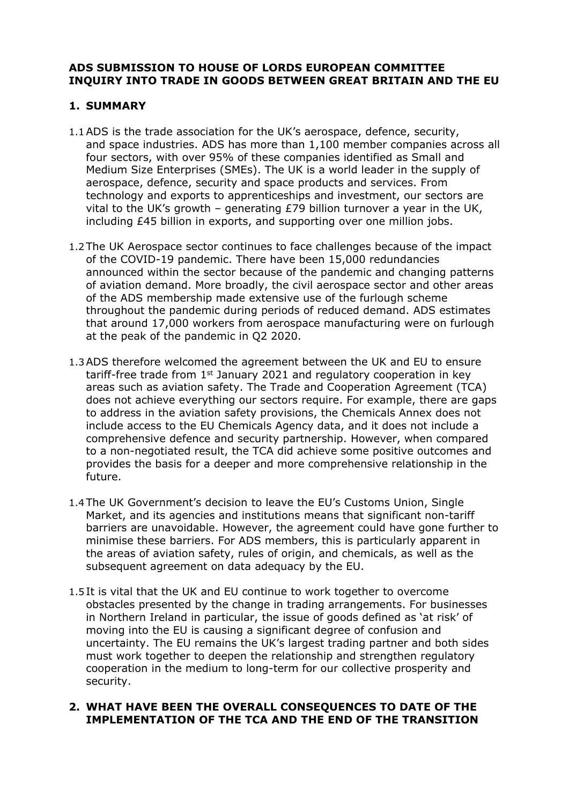## **ADS SUBMISSION TO HOUSE OF LORDS EUROPEAN COMMITTEE INQUIRY INTO TRADE IN GOODS BETWEEN GREAT BRITAIN AND THE EU**

# **1. SUMMARY**

- 1.1ADS is the trade association for the UK's aerospace, defence, security, and space industries. ADS has more than 1,100 member companies across all four sectors, with over 95% of these companies identified as Small and Medium Size Enterprises (SMEs). The UK is a world leader in the supply of aerospace, defence, security and space products and services. From technology and exports to apprenticeships and investment, our sectors are vital to the UK's growth – generating £79 billion turnover a year in the UK, including £45 billion in exports, and supporting over one million jobs.
- 1.2 The UK Aerospace sector continues to face challenges because of the impact of the COVID-19 pandemic. There have been 15,000 redundancies announced within the sector because of the pandemic and changing patterns of aviation demand. More broadly, the civil aerospace sector and other areas of the ADS membership made extensive use of the furlough scheme throughout the pandemic during periods of reduced demand. ADS estimates that around 17,000 workers from aerospace manufacturing were on furlough at the peak of the pandemic in Q2 2020.
- 1.3ADS therefore welcomed the agreement between the UK and EU to ensure tariff-free trade from  $1<sup>st</sup>$  January 2021 and regulatory cooperation in key areas such as aviation safety. The Trade and Cooperation Agreement (TCA) does not achieve everything our sectors require. For example, there are gaps to address in the aviation safety provisions, the Chemicals Annex does not include access to the EU Chemicals Agency data, and it does not include a comprehensive defence and security partnership. However, when compared to a non-negotiated result, the TCA did achieve some positive outcomes and provides the basis for a deeper and more comprehensive relationship in the future.
- 1.4 The UK Government's decision to leave the EU's Customs Union, Single Market, and its agencies and institutions means that significant non-tariff barriers are unavoidable. However, the agreement could have gone further to minimise these barriers. For ADS members, this is particularly apparent in the areas of aviation safety, rules of origin, and chemicals, as well as the subsequent agreement on data adequacy by the EU.
- 1.5 It is vital that the UK and EU continue to work together to overcome obstacles presented by the change in trading arrangements. For businesses in Northern Ireland in particular, the issue of goods defined as 'at risk' of moving into the EU is causing a significant degree of confusion and uncertainty. The EU remains the UK's largest trading partner and both sides must work together to deepen the relationship and strengthen regulatory cooperation in the medium to long-term for our collective prosperity and security.

## **2. WHAT HAVE BEEN THE OVERALL CONSEQUENCES TO DATE OF THE IMPLEMENTATION OF THE TCA AND THE END OF THE TRANSITION**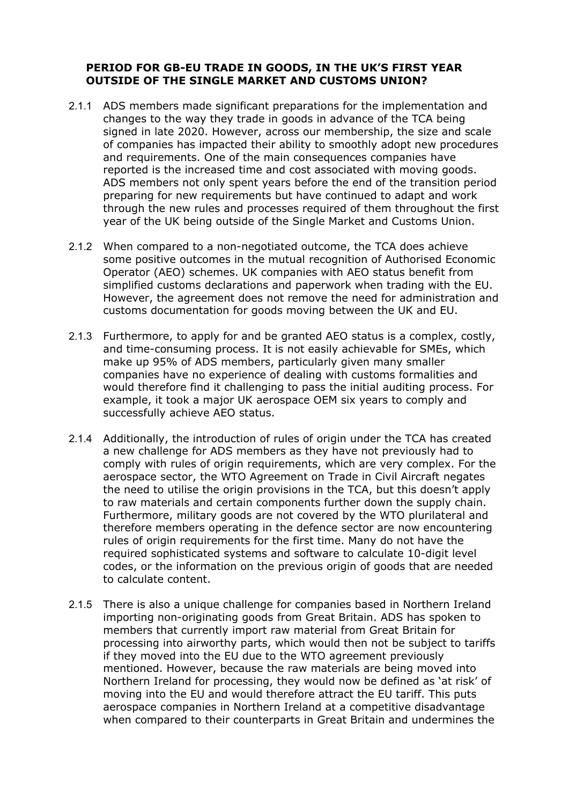## **PERIOD FOR GB-EU TRADE IN GOODS, IN THE UK'S FIRST YEAR OUTSIDE OF THE SINGLE MARKET AND CUSTOMS UNION?**

- 2.1.1 ADS members made significant preparations for the implementation and changes to the way they trade in goods in advance of the TCA being signed in late 2020. However, across our membership, the size and scale of companies has impacted their ability to smoothly adopt new procedures and requirements. One of the main consequences companies have reported is the increased time and cost associated with moving goods. ADS members not only spent years before the end of the transition period preparing for new requirements but have continued to adapt and work through the new rules and processes required of them throughout the first year of the UK being outside of the Single Market and Customs Union.
- 2.1.2 When compared to a non-negotiated outcome, the TCA does achieve some positive outcomes in the mutual recognition of Authorised Economic Operator (AEO) schemes. UK companies with AEO status benefit from simplified customs declarations and paperwork when trading with the EU. However, the agreement does not remove the need for administration and customs documentation for goods moving between the UK and EU.
- 2.1.3 Furthermore, to apply for and be granted AEO status is a complex, costly, and time-consuming process. It is not easily achievable for SMEs, which make up 95% of ADS members, particularly given many smaller companies have no experience of dealing with customs formalities and would therefore find it challenging to pass the initial auditing process. For example, it took a major UK aerospace OEM six years to comply and successfully achieve AEO status.
- 2.1.4 Additionally, the introduction of rules of origin under the TCA has created a new challenge for ADS members as they have not previously had to comply with rules of origin requirements, which are very complex. For the aerospace sector, the WTO Agreement on Trade in Civil Aircraft negates the need to utilise the origin provisions in the TCA, but this doesn't apply to raw materials and certain components further down the supply chain. Furthermore, military goods are not covered by the WTO plurilateral and therefore members operating in the defence sector are now encountering rules of origin requirements for the first time. Many do not have the required sophisticated systems and software to calculate 10-digit level codes, or the information on the previous origin of goods that are needed to calculate content.
- 2.1.5 There is also a unique challenge for companies based in Northern Ireland importing non-originating goods from Great Britain. ADS has spoken to members that currently import raw material from Great Britain for processing into airworthy parts, which would then not be subject to tariffs if they moved into the EU due to the WTO agreement previously mentioned. However, because the raw materials are being moved into Northern Ireland for processing, they would now be defined as 'at risk' of moving into the EU and would therefore attract the EU tariff. This puts aerospace companies in Northern Ireland at a competitive disadvantage when compared to their counterparts in Great Britain and undermines the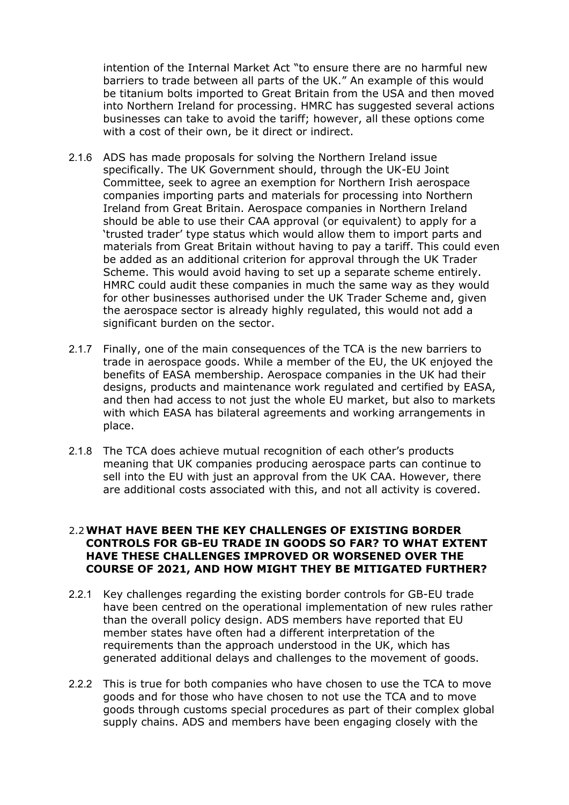intention of the Internal Market Act "to ensure there are no harmful new barriers to trade between all parts of the UK." An example of this would be titanium bolts imported to Great Britain from the USA and then moved into Northern Ireland for processing. HMRC has suggested several actions businesses can take to avoid the tariff; however, all these options come with a cost of their own, be it direct or indirect.

- 2.1.6 ADS has made proposals for solving the Northern Ireland issue specifically. The UK Government should, through the UK-EU Joint Committee, seek to agree an exemption for Northern Irish aerospace companies importing parts and materials for processing into Northern Ireland from Great Britain. Aerospace companies in Northern Ireland should be able to use their CAA approval (or equivalent) to apply for a 'trusted trader' type status which would allow them to import parts and materials from Great Britain without having to pay a tariff. This could even be added as an additional criterion for approval through the UK Trader Scheme. This would avoid having to set up a separate scheme entirely. HMRC could audit these companies in much the same way as they would for other businesses authorised under the UK Trader Scheme and, given the aerospace sector is already highly regulated, this would not add a significant burden on the sector.
- 2.1.7 Finally, one of the main consequences of the TCA is the new barriers to trade in aerospace goods. While a member of the EU, the UK enjoyed the benefits of EASA membership. Aerospace companies in the UK had their designs, products and maintenance work regulated and certified by EASA, and then had access to not just the whole EU market, but also to markets with which EASA has bilateral agreements and working arrangements in place.
- 2.1.8 The TCA does achieve mutual recognition of each other's products meaning that UK companies producing aerospace parts can continue to sell into the EU with just an approval from the UK CAA. However, there are additional costs associated with this, and not all activity is covered.

#### 2.2**WHAT HAVE BEEN THE KEY CHALLENGES OF EXISTING BORDER CONTROLS FOR GB-EU TRADE IN GOODS SO FAR? TO WHAT EXTENT HAVE THESE CHALLENGES IMPROVED OR WORSENED OVER THE COURSE OF 2021, AND HOW MIGHT THEY BE MITIGATED FURTHER?**

- 2.2.1 Key challenges regarding the existing border controls for GB-EU trade have been centred on the operational implementation of new rules rather than the overall policy design. ADS members have reported that EU member states have often had a different interpretation of the requirements than the approach understood in the UK, which has generated additional delays and challenges to the movement of goods.
- 2.2.2 This is true for both companies who have chosen to use the TCA to move goods and for those who have chosen to not use the TCA and to move goods through customs special procedures as part of their complex global supply chains. ADS and members have been engaging closely with the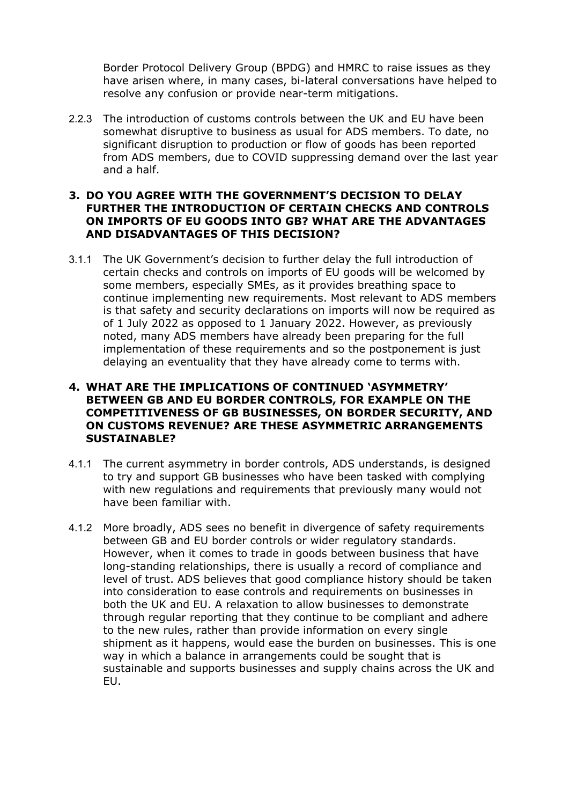Border Protocol Delivery Group (BPDG) and HMRC to raise issues as they have arisen where, in many cases, bi-lateral conversations have helped to resolve any confusion or provide near-term mitigations.

2.2.3 The introduction of customs controls between the UK and EU have been somewhat disruptive to business as usual for ADS members. To date, no significant disruption to production or flow of goods has been reported from ADS members, due to COVID suppressing demand over the last year and a half.

### **3. DO YOU AGREE WITH THE GOVERNMENT'S DECISION TO DELAY FURTHER THE INTRODUCTION OF CERTAIN CHECKS AND CONTROLS ON IMPORTS OF EU GOODS INTO GB? WHAT ARE THE ADVANTAGES AND DISADVANTAGES OF THIS DECISION?**

3.1.1 The UK Government's decision to further delay the full introduction of certain checks and controls on imports of EU goods will be welcomed by some members, especially SMEs, as it provides breathing space to continue implementing new requirements. Most relevant to ADS members is that safety and security declarations on imports will now be required as of 1 July 2022 as opposed to 1 January 2022. However, as previously noted, many ADS members have already been preparing for the full implementation of these requirements and so the postponement is just delaying an eventuality that they have already come to terms with.

## **4. WHAT ARE THE IMPLICATIONS OF CONTINUED 'ASYMMETRY' BETWEEN GB AND EU BORDER CONTROLS, FOR EXAMPLE ON THE COMPETITIVENESS OF GB BUSINESSES, ON BORDER SECURITY, AND ON CUSTOMS REVENUE? ARE THESE ASYMMETRIC ARRANGEMENTS SUSTAINABLE?**

- 4.1.1 The current asymmetry in border controls, ADS understands, is designed to try and support GB businesses who have been tasked with complying with new regulations and requirements that previously many would not have been familiar with.
- 4.1.2 More broadly, ADS sees no benefit in divergence of safety requirements between GB and EU border controls or wider regulatory standards. However, when it comes to trade in goods between business that have long-standing relationships, there is usually a record of compliance and level of trust. ADS believes that good compliance history should be taken into consideration to ease controls and requirements on businesses in both the UK and EU. A relaxation to allow businesses to demonstrate through regular reporting that they continue to be compliant and adhere to the new rules, rather than provide information on every single shipment as it happens, would ease the burden on businesses. This is one way in which a balance in arrangements could be sought that is sustainable and supports businesses and supply chains across the UK and EU.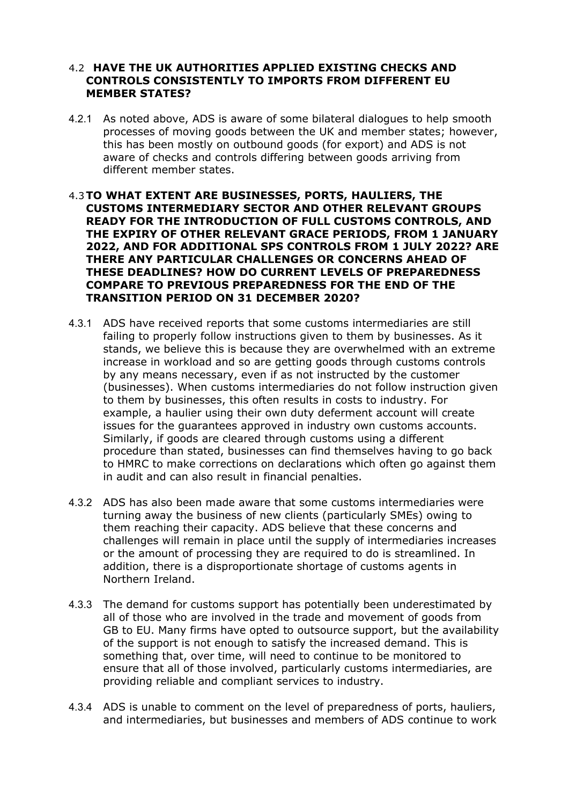#### 4.2 **HAVE THE UK AUTHORITIES APPLIED EXISTING CHECKS AND CONTROLS CONSISTENTLY TO IMPORTS FROM DIFFERENT EU MEMBER STATES?**

- 4.2.1 As noted above, ADS is aware of some bilateral dialogues to help smooth processes of moving goods between the UK and member states; however, this has been mostly on outbound goods (for export) and ADS is not aware of checks and controls differing between goods arriving from different member states.
- 4.3**TO WHAT EXTENT ARE BUSINESSES, PORTS, HAULIERS, THE CUSTOMS INTERMEDIARY SECTOR AND OTHER RELEVANT GROUPS READY FOR THE INTRODUCTION OF FULL CUSTOMS CONTROLS, AND THE EXPIRY OF OTHER RELEVANT GRACE PERIODS, FROM 1 JANUARY 2022, AND FOR ADDITIONAL SPS CONTROLS FROM 1 JULY 2022? ARE THERE ANY PARTICULAR CHALLENGES OR CONCERNS AHEAD OF THESE DEADLINES? HOW DO CURRENT LEVELS OF PREPAREDNESS COMPARE TO PREVIOUS PREPAREDNESS FOR THE END OF THE TRANSITION PERIOD ON 31 DECEMBER 2020?**
- 4.3.1 ADS have received reports that some customs intermediaries are still failing to properly follow instructions given to them by businesses. As it stands, we believe this is because they are overwhelmed with an extreme increase in workload and so are getting goods through customs controls by any means necessary, even if as not instructed by the customer (businesses). When customs intermediaries do not follow instruction given to them by businesses, this often results in costs to industry. For example, a haulier using their own duty deferment account will create issues for the guarantees approved in industry own customs accounts. Similarly, if goods are cleared through customs using a different procedure than stated, businesses can find themselves having to go back to HMRC to make corrections on declarations which often go against them in audit and can also result in financial penalties.
- 4.3.2 ADS has also been made aware that some customs intermediaries were turning away the business of new clients (particularly SMEs) owing to them reaching their capacity. ADS believe that these concerns and challenges will remain in place until the supply of intermediaries increases or the amount of processing they are required to do is streamlined. In addition, there is a disproportionate shortage of customs agents in Northern Ireland.
- 4.3.3 The demand for customs support has potentially been underestimated by all of those who are involved in the trade and movement of goods from GB to EU. Many firms have opted to outsource support, but the availability of the support is not enough to satisfy the increased demand. This is something that, over time, will need to continue to be monitored to ensure that all of those involved, particularly customs intermediaries, are providing reliable and compliant services to industry.
- 4.3.4 ADS is unable to comment on the level of preparedness of ports, hauliers, and intermediaries, but businesses and members of ADS continue to work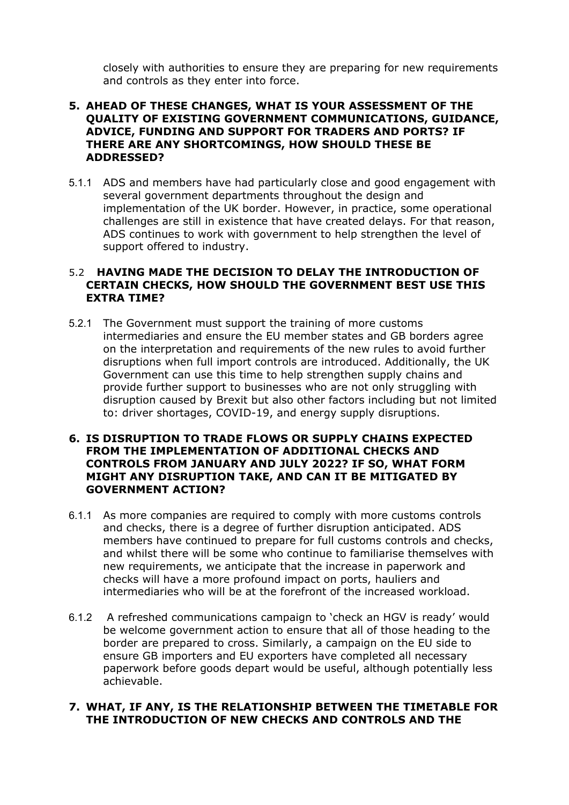closely with authorities to ensure they are preparing for new requirements and controls as they enter into force.

## **5. AHEAD OF THESE CHANGES, WHAT IS YOUR ASSESSMENT OF THE QUALITY OF EXISTING GOVERNMENT COMMUNICATIONS, GUIDANCE, ADVICE, FUNDING AND SUPPORT FOR TRADERS AND PORTS? IF THERE ARE ANY SHORTCOMINGS, HOW SHOULD THESE BE ADDRESSED?**

5.1.1 ADS and members have had particularly close and good engagement with several government departments throughout the design and implementation of the UK border. However, in practice, some operational challenges are still in existence that have created delays. For that reason, ADS continues to work with government to help strengthen the level of support offered to industry.

### 5.2 **HAVING MADE THE DECISION TO DELAY THE INTRODUCTION OF CERTAIN CHECKS, HOW SHOULD THE GOVERNMENT BEST USE THIS EXTRA TIME?**

5.2.1 The Government must support the training of more customs intermediaries and ensure the EU member states and GB borders agree on the interpretation and requirements of the new rules to avoid further disruptions when full import controls are introduced. Additionally, the UK Government can use this time to help strengthen supply chains and provide further support to businesses who are not only struggling with disruption caused by Brexit but also other factors including but not limited to: driver shortages, COVID-19, and energy supply disruptions.

#### **6. IS DISRUPTION TO TRADE FLOWS OR SUPPLY CHAINS EXPECTED FROM THE IMPLEMENTATION OF ADDITIONAL CHECKS AND CONTROLS FROM JANUARY AND JULY 2022? IF SO, WHAT FORM MIGHT ANY DISRUPTION TAKE, AND CAN IT BE MITIGATED BY GOVERNMENT ACTION?**

- 6.1.1 As more companies are required to comply with more customs controls and checks, there is a degree of further disruption anticipated. ADS members have continued to prepare for full customs controls and checks, and whilst there will be some who continue to familiarise themselves with new requirements, we anticipate that the increase in paperwork and checks will have a more profound impact on ports, hauliers and intermediaries who will be at the forefront of the increased workload.
- 6.1.2 A refreshed communications campaign to 'check an HGV is ready' would be welcome government action to ensure that all of those heading to the border are prepared to cross. Similarly, a campaign on the EU side to ensure GB importers and EU exporters have completed all necessary paperwork before goods depart would be useful, although potentially less achievable.

### **7. WHAT, IF ANY, IS THE RELATIONSHIP BETWEEN THE TIMETABLE FOR THE INTRODUCTION OF NEW CHECKS AND CONTROLS AND THE**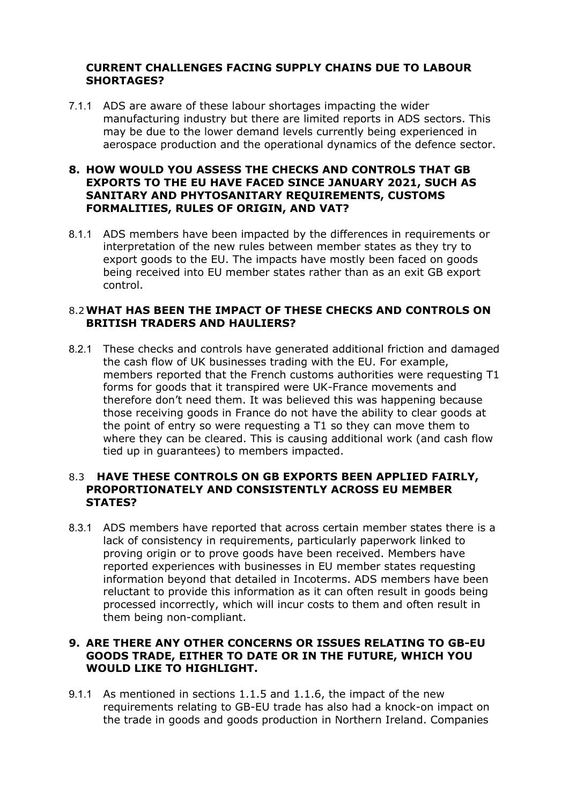# **CURRENT CHALLENGES FACING SUPPLY CHAINS DUE TO LABOUR SHORTAGES?**

7.1.1 ADS are aware of these labour shortages impacting the wider manufacturing industry but there are limited reports in ADS sectors. This may be due to the lower demand levels currently being experienced in aerospace production and the operational dynamics of the defence sector.

#### **8. HOW WOULD YOU ASSESS THE CHECKS AND CONTROLS THAT GB EXPORTS TO THE EU HAVE FACED SINCE JANUARY 2021, SUCH AS SANITARY AND PHYTOSANITARY REQUIREMENTS, CUSTOMS FORMALITIES, RULES OF ORIGIN, AND VAT?**

8.1.1 ADS members have been impacted by the differences in requirements or interpretation of the new rules between member states as they try to export goods to the EU. The impacts have mostly been faced on goods being received into EU member states rather than as an exit GB export control.

## 8.2**WHAT HAS BEEN THE IMPACT OF THESE CHECKS AND CONTROLS ON BRITISH TRADERS AND HAULIERS?**

8.2.1 These checks and controls have generated additional friction and damaged the cash flow of UK businesses trading with the EU. For example, members reported that the French customs authorities were requesting T1 forms for goods that it transpired were UK-France movements and therefore don't need them. It was believed this was happening because those receiving goods in France do not have the ability to clear goods at the point of entry so were requesting a T1 so they can move them to where they can be cleared. This is causing additional work (and cash flow tied up in guarantees) to members impacted.

## 8.3 **HAVE THESE CONTROLS ON GB EXPORTS BEEN APPLIED FAIRLY, PROPORTIONATELY AND CONSISTENTLY ACROSS EU MEMBER STATES?**

8.3.1 ADS members have reported that across certain member states there is a lack of consistency in requirements, particularly paperwork linked to proving origin or to prove goods have been received. Members have reported experiences with businesses in EU member states requesting information beyond that detailed in Incoterms. ADS members have been reluctant to provide this information as it can often result in goods being processed incorrectly, which will incur costs to them and often result in them being non-compliant.

# **9. ARE THERE ANY OTHER CONCERNS OR ISSUES RELATING TO GB-EU GOODS TRADE, EITHER TO DATE OR IN THE FUTURE, WHICH YOU WOULD LIKE TO HIGHLIGHT.**

9.1.1 As mentioned in sections 1.1.5 and 1.1.6, the impact of the new requirements relating to GB-EU trade has also had a knock-on impact on the trade in goods and goods production in Northern Ireland. Companies